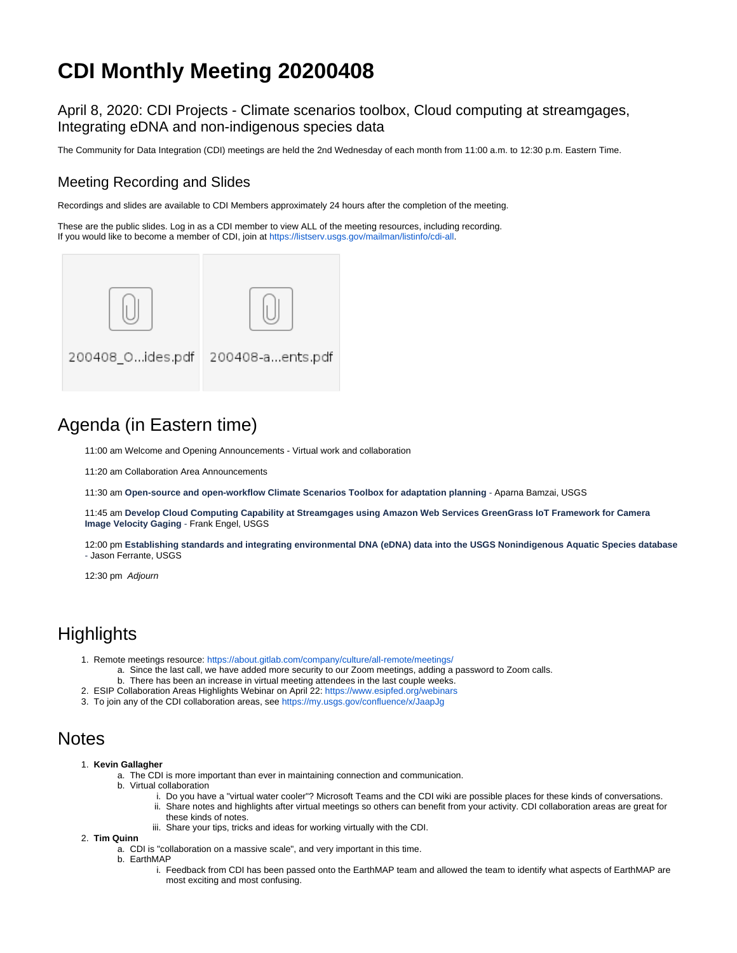# **CDI Monthly Meeting 20200408**

April 8, 2020: CDI Projects - Climate scenarios toolbox, Cloud computing at streamgages, Integrating eDNA and non-indigenous species data

The Community for Data Integration (CDI) meetings are held the 2nd Wednesday of each month from 11:00 a.m. to 12:30 p.m. Eastern Time.

### Meeting Recording and Slides

Recordings and slides are available to CDI Members approximately 24 hours after the completion of the meeting.

These are the public slides. Log in as a CDI member to view ALL of the meeting resources, including recording. If you would like to become a member of CDI, join at <https://listserv.usgs.gov/mailman/listinfo/cdi-all>.



## Agenda (in Eastern time)

11:00 am Welcome and Opening Announcements - Virtual work and collaboration

11:20 am Collaboration Area Announcements

11:30 am **Open-source and open-workflow Climate Scenarios Toolbox for adaptation planning** - Aparna Bamzai, USGS

11:45 am **Develop Cloud Computing Capability at Streamgages using Amazon Web Services GreenGrass IoT Framework for Camera Image Velocity Gaging** - Frank Engel, USGS

12:00 pm **Establishing standards and integrating environmental DNA (eDNA) data into the USGS Nonindigenous Aquatic Species database** - Jason Ferrante, USGS

12:30 pm Adjourn

### **Highlights**

- 1. Remote meetings resource:<https://about.gitlab.com/company/culture/all-remote/meetings/>
	- a. Since the last call, we have added more security to our Zoom meetings, adding a password to Zoom calls.
		- b. There has been an increase in virtual meeting attendees in the last couple weeks.
- 2. ESIP Collaboration Areas Highlights Webinar on April 22:<https://www.esipfed.org/webinars>
- 3. To join any of the CDI collaboration areas, see<https://my.usgs.gov/confluence/x/JaapJg>

### **Notes**

- 1. **Kevin Gallagher**
	- a. The CDI is more important than ever in maintaining connection and communication.
	- b. Virtual collaboration
		- i. Do you have a "virtual water cooler"? Microsoft Teams and the CDI wiki are possible places for these kinds of conversations.
		- ii. Share notes and highlights after virtual meetings so others can benefit from your activity. CDI collaboration areas are great for these kinds of notes.
		- iii. Share your tips, tricks and ideas for working virtually with the CDI.
- 2. **Tim Quinn**
	- a. CDI is "collaboration on a massive scale", and very important in this time.
	- b. EarthMAP
		- i. Feedback from CDI has been passed onto the EarthMAP team and allowed the team to identify what aspects of EarthMAP are most exciting and most confusing.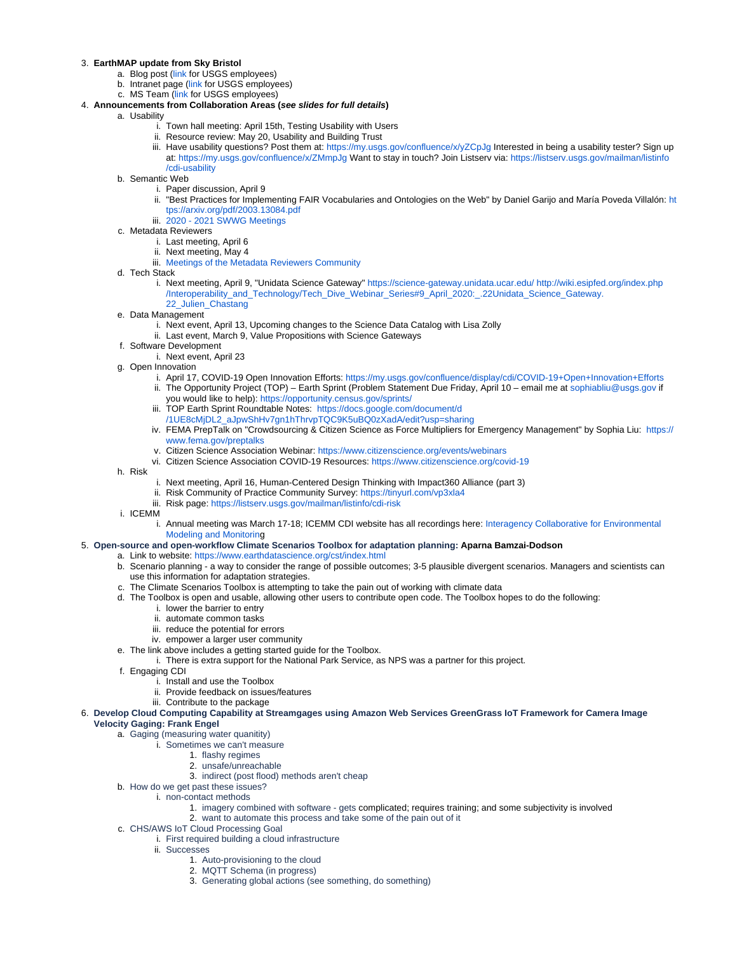#### 3. **EarthMAP update from Sky Bristol**

- a. Blog post ([link](https://atthecore.usgs.gov/leadership/leaders-blog/141-years-and-counting-earthmap-future) for USGS employees)
- b. Intranet page ([link](https://atthecore.usgs.gov/special-groups/earth-monitoring-analyses-and-prediction-earthmap) for USGS employees)
- c. MS Team [\(link](https://teams.microsoft.com/l/team/19%3a25afc4df969544c596b6250877040e4b%40thread.skype/conversations?groupId=e3711e8c-5dfb-46f2-abe7-59cccfc8d9c8&tenantId=0693b5ba-4b18-4d7b-9341-f32f400a5494) for USGS employees)
- 4. **Announcements from Collaboration Areas (see slides for full details)**
	- a. Usability
		- i. Town hall meeting: April 15th, Testing Usability with Users
		- ii. Resource review: May 20, Usability and Building Trust
		- iii. Have usability questions? Post them at:<https://my.usgs.gov/confluence/x/yZCpJg> Interested in being a usability tester? Sign up at:<https://my.usgs.gov/confluence/x/ZMmpJg> Want to stay in touch? Join Listserv via: [https://listserv.usgs.gov/mailman/listinfo](https://listserv.usgs.gov/mailman/listinfo/cdi-usability) [/cdi-usability](https://listserv.usgs.gov/mailman/listinfo/cdi-usability)
	- b. Semantic Web
		- i. Paper discussion, April 9
			- ii. "Best Practices for Implementing FAIR Vocabularies and Ontologies on the Web" by Daniel Garijo and María Poveda Villalón: [ht](https://arxiv.org/pdf/2003.13084.pdf) [tps://arxiv.org/pdf/2003.13084.pdf](https://arxiv.org/pdf/2003.13084.pdf)
		- iii. [2020 2021 SWWG Meetings](https://my.usgs.gov/confluence/display/cdi/2020+-+2021+SWWG+Meetings)
	- c. Metadata Reviewers
		- i. Last meeting, April 6
		- ii. Next meeting, May 4
		- iii. [Meetings of the Metadata Reviewers Community](https://my.usgs.gov/confluence/display/cdi/Meetings+of+the+Metadata+Reviewers+Community)
	- d. Tech Stack
		- i. Next meeting, April 9, "Unidata Science Gateway"<https://science-gateway.unidata.ucar.edu/> [http://wiki.esipfed.org/index.php](http://wiki.esipfed.org/index.php/Interoperability_and_Technology/Tech_Dive_Webinar_Series#9_April_2020:_.22Unidata_Science_Gateway.22_Julien_Chastang) [/Interoperability\\_and\\_Technology/Tech\\_Dive\\_Webinar\\_Series#9\\_April\\_2020:\\_.22Unidata\\_Science\\_Gateway.](http://wiki.esipfed.org/index.php/Interoperability_and_Technology/Tech_Dive_Webinar_Series#9_April_2020:_.22Unidata_Science_Gateway.22_Julien_Chastang) [22\\_Julien\\_Chastang](http://wiki.esipfed.org/index.php/Interoperability_and_Technology/Tech_Dive_Webinar_Series#9_April_2020:_.22Unidata_Science_Gateway.22_Julien_Chastang)
	- e. Data Management
		- i. Next event, April 13, Upcoming changes to the Science Data Catalog with Lisa Zolly
		- ii. Last event, March 9, Value Propositions with Science Gateways
	- f. Software Development
		- i. Next event, April 23
	- g. Open Innovation
		- i. April 17, COVID-19 Open Innovation Efforts:<https://my.usgs.gov/confluence/display/cdi/COVID-19+Open+Innovation+Efforts> ii. The Opportunity Project (TOP) – Earth Sprint (Problem Statement Due Friday, April 10 – email me at [sophiabliu@usgs.gov](mailto:sophiabliu@usgs.gov) if
		- you would like to help):<https://opportunity.census.gov/sprints/>
		- iii. TOP Earth Sprint Roundtable Notes: [https://docs.google.com/document/d](https://docs.google.com/document/d/1UE8cMjDL2_aJpwShHv7gn1hThrvpTQC9K5uBQ0zXadA/edit?usp=sharing)
		- [/1UE8cMjDL2\\_aJpwShHv7gn1hThrvpTQC9K5uBQ0zXadA/edit?usp=sharing](https://docs.google.com/document/d/1UE8cMjDL2_aJpwShHv7gn1hThrvpTQC9K5uBQ0zXadA/edit?usp=sharing)
		- iv. FEMA PrepTalk on "Crowdsourcing & Citizen Science as Force Multipliers for Emergency Management" by Sophia Liu: [https://](https://www.fema.gov/preptalks) [www.fema.gov/preptalks](https://www.fema.gov/preptalks)
		- v. Citizen Science Association Webinar:<https://www.citizenscience.org/events/webinars>
		- vi. Citizen Science Association COVID-19 Resources: <https://www.citizenscience.org/covid-19>
	- h. Risk
- i. Next meeting, April 16, Human-Centered Design Thinking with Impact360 Alliance (part 3)
- ii. Risk Community of Practice Community Survey: <https://tinyurl.com/vp3xla4>
- iii. Risk page: <https://listserv.usgs.gov/mailman/listinfo/cdi-risk>
- i. ICEMM
	- i. Annual meeting was March 17-18; ICEMM CDI website has all recordings here: [Interagency Collaborative for Environmental](https://my.usgs.gov/confluence/display/cdi/Interagency+Collaborative+for+Environmental+Modeling+and+Monitoring)  [Modeling and Monitoring](https://my.usgs.gov/confluence/display/cdi/Interagency+Collaborative+for+Environmental+Modeling+and+Monitoring)

#### 5. **Open-source and open-workflow Climate Scenarios Toolbox for adaptation planning: Aparna Bamzai-Dodson**

- a. Link to website: <https://www.earthdatascience.org/cst/index.html>
- b. Scenario planning a way to consider the range of possible outcomes; 3-5 plausible divergent scenarios. Managers and scientists can use this information for adaptation strategies.
- c. The Climate Scenarios Toolbox is attempting to take the pain out of working with climate data
- d. The Toolbox is open and usable, allowing other users to contribute open code. The Toolbox hopes to do the following:
	- i. lower the barrier to entry
	- ii. automate common tasks
	- iii. reduce the potential for errors
	- iv. empower a larger user community
- e. The link above includes a getting started guide for the Toolbox.
	- i. There is extra support for the National Park Service, as NPS was a partner for this project.
- f. Engaging CDI
	- i. Install and use the Toolbox
	- ii. Provide feedback on issues/features
	- iii. Contribute to the package
- 6. **Develop Cloud Computing Capability at Streamgages using Amazon Web Services GreenGrass IoT Framework for Camera Image Velocity Gaging: Frank Engel**

#### a. Gaging (measuring water quanitity)

- i. Sometimes we can't measure
	- 1. flashy regimes
	- 2. unsafe/unreachable
	- 3. indirect (post flood) methods aren't cheap
- b. How do we get past these issues?
	- i. non-contact methods
		- 1. imagery combined with software gets complicated; requires training; and some subjectivity is involved
		- 2. want to automate this process and take some of the pain out of it
- c. CHS/AWS IoT Cloud Processing Goal
	- i. First required building a cloud infrastructure
		- ii. Successes
			- 1. Auto-provisioning to the cloud
			- 2. MQTT Schema (in progress)
			- 3. Generating global actions (see something, do something)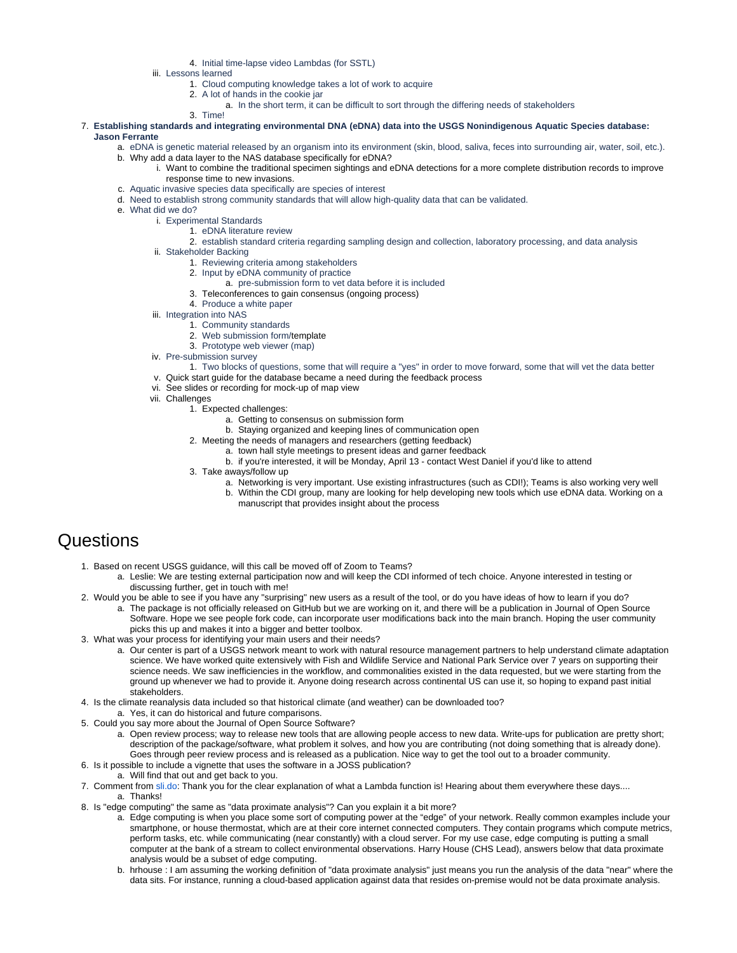4. Initial time-lapse video Lambdas (for SSTL)

iii. Lessons learned

1. Cloud computing knowledge takes a lot of work to acquire

2. A lot of hands in the cookie jar

- a. In the short term, it can be difficult to sort through the differing needs of stakeholders
- 3. Time! 7. **Establishing standards and integrating environmental DNA (eDNA) data into the USGS Nonindigenous Aquatic Species database: Jason Ferrante**

#### a. eDNA is genetic material released by an organism into its environment (skin, blood, saliva, feces into surrounding air, water, soil, etc.).

- b. Why add a data layer to the NAS database specifically for eDNA?
	- i. Want to combine the traditional specimen sightings and eDNA detections for a more complete distribution records to improve response time to new invasions.
- c. Aquatic invasive species data specifically are species of interest
- d. Need to establish strong community standards that will allow high-quality data that can be validated.
- e. What did we do?
	- i. Experimental Standards

#### 1. eDNA literature review

- 2. establish standard criteria regarding sampling design and collection, laboratory processing, and data analysis
- ii. Stakeholder Backing
	- 1. Reviewing criteria among stakeholders
	- 2. Input by eDNA community of practice
		- a. pre-submission form to vet data before it is included
	- 3. Teleconferences to gain consensus (ongoing process)
	- 4. Produce a white paper
- iii. Integration into NAS
	- 1. Community standards
	- 2. Web submission form/template
- 3. Prototype web viewer (map) iv. Pre-submission survey
	- 1. Two blocks of questions, some that will require a "yes" in order to move forward, some that will vet the data better
- v. Quick start guide for the database became a need during the feedback process
- vi. See slides or recording for mock-up of map view
- vii. Challenges
	- 1. Expected challenges:
		- a. Getting to consensus on submission form
		- b. Staying organized and keeping lines of communication open
		- 2. Meeting the needs of managers and researchers (getting feedback)
			- a. town hall style meetings to present ideas and garner feedback
				- b. if you're interested, it will be Monday, April 13 contact West Daniel if you'd like to attend
		- 3. Take aways/follow up
			- a. Networking is very important. Use existing infrastructures (such as CDI!); Teams is also working very well b. Within the CDI group, many are looking for help developing new tools which use eDNA data. Working on a manuscript that provides insight about the process

### **Questions**

- 1. Based on recent USGS guidance, will this call be moved off of Zoom to Teams?
	- a. Leslie: We are testing external participation now and will keep the CDI informed of tech choice. Anyone interested in testing or discussing further, get in touch with me!
- 2. Would you be able to see if you have any "surprising" new users as a result of the tool, or do you have ideas of how to learn if you do? a. The package is not officially released on GitHub but we are working on it, and there will be a publication in Journal of Open Source Software. Hope we see people fork code, can incorporate user modifications back into the main branch. Hoping the user community picks this up and makes it into a bigger and better toolbox.
- 3. What was your process for identifying your main users and their needs?
	- a. Our center is part of a USGS network meant to work with natural resource management partners to help understand climate adaptation science. We have worked quite extensively with Fish and Wildlife Service and National Park Service over 7 years on supporting their science needs. We saw inefficiencies in the workflow, and commonalities existed in the data requested, but we were starting from the ground up whenever we had to provide it. Anyone doing research across continental US can use it, so hoping to expand past initial stakeholders.
- 4. Is the climate reanalysis data included so that historical climate (and weather) can be downloaded too?
- a. Yes, it can do historical and future comparisons.
- 5. Could you say more about the Journal of Open Source Software?
	- a. Open review process; way to release new tools that are allowing people access to new data. Write-ups for publication are pretty short; description of the package/software, what problem it solves, and how you are contributing (not doing something that is already done). Goes through peer review process and is released as a publication. Nice way to get the tool out to a broader community.
- 6. Is it possible to include a vignette that uses the software in a JOSS publication?
	- a. Will find that out and get back to you.
- 7. Comment from [sli.do](http://sli.do): Thank you for the clear explanation of what a Lambda function is! Hearing about them everywhere these days.... a. Thanks!
- 8. Is "edge computing" the same as "data proximate analysis"? Can you explain it a bit more?
	- a. Edge computing is when you place some sort of computing power at the "edge" of your network. Really common examples include your smartphone, or house thermostat, which are at their core internet connected computers. They contain programs which compute metrics, perform tasks, etc. while communicating (near constantly) with a cloud server. For my use case, edge computing is putting a small computer at the bank of a stream to collect environmental observations. Harry House (CHS Lead), answers below that data proximate analysis would be a subset of edge computing.
	- b. hrhouse : I am assuming the working definition of "data proximate analysis" just means you run the analysis of the data "near" where the data sits. For instance, running a cloud-based application against data that resides on-premise would not be data proximate analysis.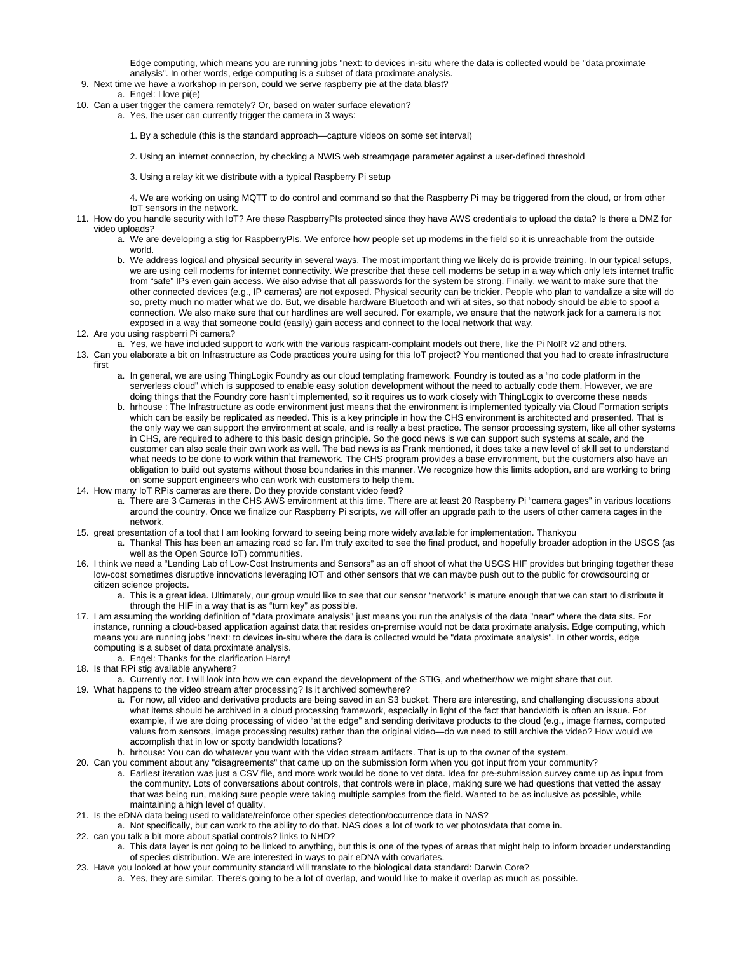Edge computing, which means you are running jobs "next: to devices in-situ where the data is collected would be "data proximate analysis". In other words, edge computing is a subset of data proximate analysis.

9. Next time we have a workshop in person, could we serve raspberry pie at the data blast?

#### a. Engel: I love pi(e)

- 10. Can a user trigger the camera remotely? Or, based on water surface elevation?
	- a. Yes, the user can currently trigger the camera in 3 ways:
		- 1. By a schedule (this is the standard approach—capture videos on some set interval)
		- 2. Using an internet connection, by checking a NWIS web streamgage parameter against a user-defined threshold
		- 3. Using a relay kit we distribute with a typical Raspberry Pi setup
		- 4. We are working on using MQTT to do control and command so that the Raspberry Pi may be triggered from the cloud, or from other IoT sensors in the network.
- 11. How do you handle security with IoT? Are these RaspberryPIs protected since they have AWS credentials to upload the data? Is there a DMZ for video uploads?
	- a. We are developing a stig for RaspberryPIs. We enforce how people set up modems in the field so it is unreachable from the outside world.
	- b. We address logical and physical security in several ways. The most important thing we likely do is provide training. In our typical setups, we are using cell modems for internet connectivity. We prescribe that these cell modems be setup in a way which only lets internet traffic from "safe" IPs even gain access. We also advise that all passwords for the system be strong. Finally, we want to make sure that the other connected devices (e.g., IP cameras) are not exposed. Physical security can be trickier. People who plan to vandalize a site will do so, pretty much no matter what we do. But, we disable hardware Bluetooth and wifi at sites, so that nobody should be able to spoof a connection. We also make sure that our hardlines are well secured. For example, we ensure that the network jack for a camera is not exposed in a way that someone could (easily) gain access and connect to the local network that way.
- 12. Are you using raspberri Pi camera?
- a. Yes, we have included support to work with the various raspicam-complaint models out there, like the Pi NoIR v2 and others.
- 13. Can you elaborate a bit on Infrastructure as Code practices you're using for this IoT project? You mentioned that you had to create infrastructure first
	- a. In general, we are using ThingLogix Foundry as our cloud templating framework. Foundry is touted as a "no code platform in the serverless cloud" which is supposed to enable easy solution development without the need to actually code them. However, we are doing things that the Foundry core hasn't implemented, so it requires us to work closely with ThingLogix to overcome these needs
	- b. hrhouse : The Infrastructure as code environment just means that the environment is implemented typically via Cloud Formation scripts which can be easily be replicated as needed. This is a key principle in how the CHS environment is architected and presented. That is the only way we can support the environment at scale, and is really a best practice. The sensor processing system, like all other systems in CHS, are required to adhere to this basic design principle. So the good news is we can support such systems at scale, and the customer can also scale their own work as well. The bad news is as Frank mentioned, it does take a new level of skill set to understand what needs to be done to work within that framework. The CHS program provides a base environment, but the customers also have an obligation to build out systems without those boundaries in this manner. We recognize how this limits adoption, and are working to bring on some support engineers who can work with customers to help them.
- 14. How many IoT RPis cameras are there. Do they provide constant video feed?
	- a. There are 3 Cameras in the CHS AWS environment at this time. There are at least 20 Raspberry Pi "camera gages" in various locations around the country. Once we finalize our Raspberry Pi scripts, we will offer an upgrade path to the users of other camera cages in the network.
- 15. great presentation of a tool that I am looking forward to seeing being more widely available for implementation. Thankyou
	- a. Thanks! This has been an amazing road so far. I'm truly excited to see the final product, and hopefully broader adoption in the USGS (as well as the Open Source IoT) communities.
- 16. I think we need a "Lending Lab of Low-Cost Instruments and Sensors" as an off shoot of what the USGS HIF provides but bringing together these low-cost sometimes disruptive innovations leveraging IOT and other sensors that we can maybe push out to the public for crowdsourcing or citizen science projects.
	- a. This is a great idea. Ultimately, our group would like to see that our sensor "network" is mature enough that we can start to distribute it through the HIF in a way that is as "turn key" as possible.
- 17. I am assuming the working definition of "data proximate analysis" just means you run the analysis of the data "near" where the data sits. For instance, running a cloud-based application against data that resides on-premise would not be data proximate analysis. Edge computing, which means you are running jobs "next: to devices in-situ where the data is collected would be "data proximate analysis". In other words, edge computing is a subset of data proximate analysis.
	- a. Engel: Thanks for the clarification Harry!
- 18. Is that RPi stig available anywhere?
- a. Currently not. I will look into how we can expand the development of the STIG, and whether/how we might share that out.
- 19. What happens to the video stream after processing? Is it archived somewhere?
	- a. For now, all video and derivative products are being saved in an S3 bucket. There are interesting, and challenging discussions about what items should be archived in a cloud processing framework, especially in light of the fact that bandwidth is often an issue. For example, if we are doing processing of video "at the edge" and sending derivitave products to the cloud (e.g., image frames, computed values from sensors, image processing results) rather than the original video—do we need to still archive the video? How would we accomplish that in low or spotty bandwidth locations?
	- b. hrhouse: You can do whatever you want with the video stream artifacts. That is up to the owner of the system.
- 20. Can you comment about any "disagreements" that came up on the submission form when you got input from your community?
	- a. Earliest iteration was just a CSV file, and more work would be done to vet data. Idea for pre-submission survey came up as input from the community. Lots of conversations about controls, that controls were in place, making sure we had questions that vetted the assay that was being run, making sure people were taking multiple samples from the field. Wanted to be as inclusive as possible, while maintaining a high level of quality.
- 21. Is the eDNA data being used to validate/reinforce other species detection/occurrence data in NAS?
- a. Not specifically, but can work to the ability to do that. NAS does a lot of work to vet photos/data that come in. 22. can you talk a bit more about spatial controls? links to NHD?
- a. This data layer is not going to be linked to anything, but this is one of the types of areas that might help to inform broader understanding of species distribution. We are interested in ways to pair eDNA with covariates.
- 23. Have you looked at how your community standard will translate to the biological data standard: Darwin Core?
	- a. Yes, they are similar. There's going to be a lot of overlap, and would like to make it overlap as much as possible.